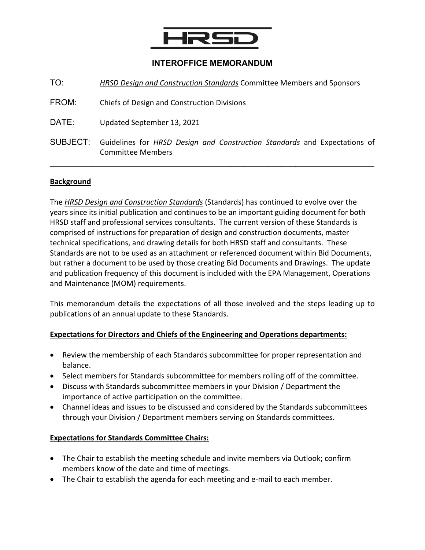

### **INTEROFFICE MEMORANDUM**

| TO:      | HRSD Design and Construction Standards Committee Members and Sponsors                                 |
|----------|-------------------------------------------------------------------------------------------------------|
| FROM:    | Chiefs of Design and Construction Divisions                                                           |
| DATE:    | Updated September 13, 2021                                                                            |
| SUBJECT: | Guidelines for HRSD Design and Construction Standards and Expectations of<br><b>Committee Members</b> |

#### **Background**

The *HRSD Design and Construction Standards* (Standards) has continued to evolve over the years since its initial publication and continues to be an important guiding document for both HRSD staff and professional services consultants. The current version of these Standards is comprised of instructions for preparation of design and construction documents, master technical specifications, and drawing details for both HRSD staff and consultants. These Standards are not to be used as an attachment or referenced document within Bid Documents, but rather a document to be used by those creating Bid Documents and Drawings. The update and publication frequency of this document is included with the EPA Management, Operations and Maintenance (MOM) requirements.

This memorandum details the expectations of all those involved and the steps leading up to publications of an annual update to these Standards.

#### **Expectations for Directors and Chiefs of the Engineering and Operations departments:**

- Review the membership of each Standards subcommittee for proper representation and balance.
- Select members for Standards subcommittee for members rolling off of the committee.
- Discuss with Standards subcommittee members in your Division / Department the importance of active participation on the committee.
- Channel ideas and issues to be discussed and considered by the Standards subcommittees through your Division / Department members serving on Standards committees.

### **Expectations for Standards Committee Chairs:**

- The Chair to establish the meeting schedule and invite members via Outlook; confirm members know of the date and time of meetings.
- The Chair to establish the agenda for each meeting and e-mail to each member.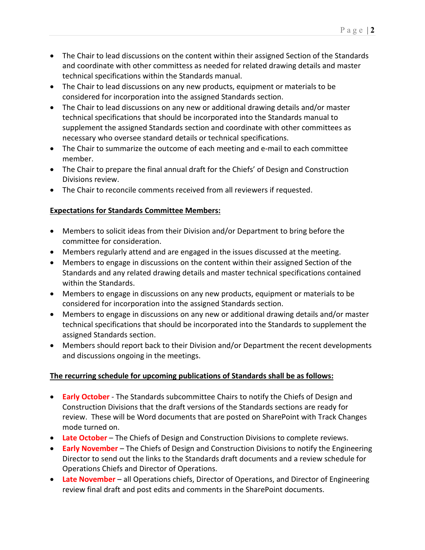- The Chair to lead discussions on the content within their assigned Section of the Standards and coordinate with other committess as needed for related drawing details and master technical specifications within the Standards manual.
- The Chair to lead discussions on any new products, equipment or materials to be considered for incorporation into the assigned Standards section.
- The Chair to lead discussions on any new or additional drawing details and/or master technical specifications that should be incorporated into the Standards manual to supplement the assigned Standards section and coordinate with other committees as necessary who oversee standard details or technical specifications.
- The Chair to summarize the outcome of each meeting and e-mail to each committee member.
- The Chair to prepare the final annual draft for the Chiefs' of Design and Construction Divisions review.
- The Chair to reconcile comments received from all reviewers if requested.

## **Expectations for Standards Committee Members:**

- Members to solicit ideas from their Division and/or Department to bring before the committee for consideration.
- Members regularly attend and are engaged in the issues discussed at the meeting.
- Members to engage in discussions on the content within their assigned Section of the Standards and any related drawing details and master technical specifications contained within the Standards.
- Members to engage in discussions on any new products, equipment or materials to be considered for incorporation into the assigned Standards section.
- Members to engage in discussions on any new or additional drawing details and/or master technical specifications that should be incorporated into the Standards to supplement the assigned Standards section.
- Members should report back to their Division and/or Department the recent developments and discussions ongoing in the meetings.

# **The recurring schedule for upcoming publications of Standards shall be as follows:**

- **Early October**  The Standards subcommittee Chairs to notify the Chiefs of Design and Construction Divisions that the draft versions of the Standards sections are ready for review. These will be Word documents that are posted on SharePoint with Track Changes mode turned on.
- **Late October** The Chiefs of Design and Construction Divisions to complete reviews.
- **Early November**  The Chiefs of Design and Construction Divisions to notify the Engineering Director to send out the links to the Standards draft documents and a review schedule for Operations Chiefs and Director of Operations.
- **Late November** all Operations chiefs, Director of Operations, and Director of Engineering review final draft and post edits and comments in the SharePoint documents.